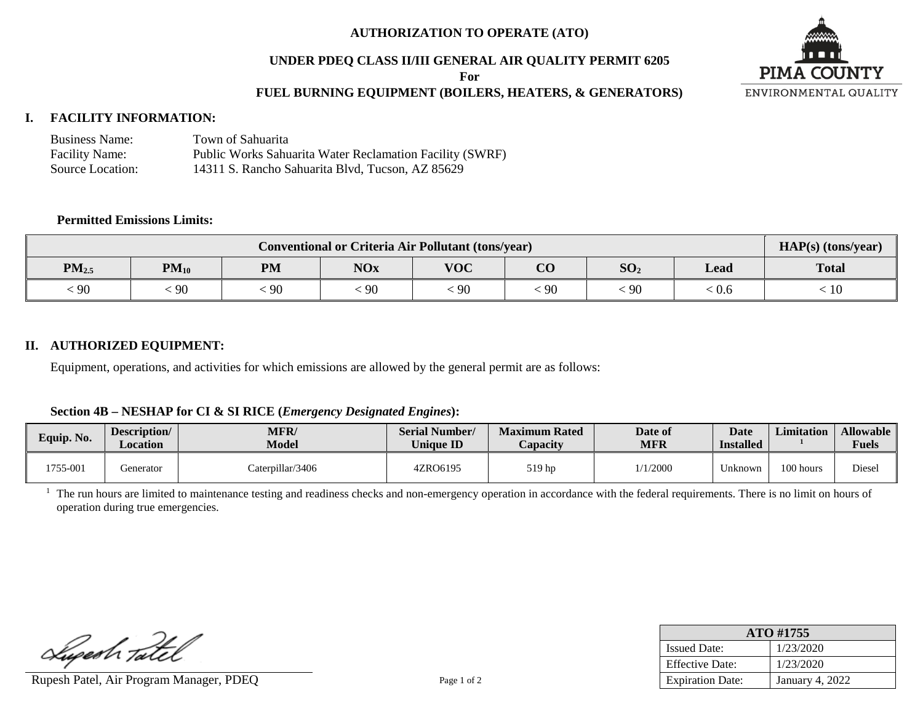### **AUTHORIZATION TO OPERATE (ATO)**

#### **UNDER PDEQ CLASS II/III GENERAL AIR QUALITY PERMIT 6205**

**For**

## **FUEL BURNING EQUIPMENT (BOILERS, HEATERS, & GENERATORS)**



### **I. FACILITY INFORMATION:**

| <b>Business Name:</b> | Town of Sahuarita                                        |
|-----------------------|----------------------------------------------------------|
| <b>Facility Name:</b> | Public Works Sahuarita Water Reclamation Facility (SWRF) |
| Source Location:      | 14311 S. Rancho Sahuarita Blvd, Tucson, AZ 85629         |

#### **Permitted Emissions Limits:**

| <b>Conventional or Criteria Air Pollutant (tons/year)</b> |           |                                                                                            |    |    |    |              |       | HAP(s) (tons/year) |
|-----------------------------------------------------------|-----------|--------------------------------------------------------------------------------------------|----|----|----|--------------|-------|--------------------|
| $PM_{2.5}$                                                | $PM_{10}$ | $\overline{\text{CO}}$<br><b>VOC</b><br>SO <sub>2</sub><br><b>NOx</b><br><b>PM</b><br>Lead |    |    |    | <b>Total</b> |       |                    |
| $\dot{\phantom{0}}$ 90                                    | 90        | 90                                                                                         | 90 | 90 | 90 | -90          | . V.O | 10                 |

#### **II. AUTHORIZED EQUIPMENT:**

Equipment, operations, and activities for which emissions are allowed by the general permit are as follows:

#### **Section 4B – NESHAP for CI & SI RICE (***Emergency Designated Engines***):**

| Equip. No. | Description/<br>Location | <b>MFR/</b><br>Model | <b>Serial Number/</b><br><b>Unique ID</b> | <b>Maximum Rated</b><br><i><b>Capacity</b></i> | Date of<br><b>MFR</b> | <b>Date</b><br><b>Installed</b> | <b>Limitation</b> | <b>Allowable</b><br><b>Fuels</b> |
|------------|--------------------------|----------------------|-------------------------------------------|------------------------------------------------|-----------------------|---------------------------------|-------------------|----------------------------------|
| 1755-001   | Generator                | Caterpillar/3406     | 4ZRO6195                                  | 519 hp                                         | /1/2000               | Jnknown                         | 100 hours         | <b>Diese</b>                     |

<sup>1</sup> The run hours are limited to maintenance testing and readiness checks and non-emergency operation in accordance with the federal requirements. There is no limit on hours of operation during true emergencies.

Lupesh Tatel

Rupesh Patel, Air Program Manager, PDEQ Page 1 of 2

| ATO #1755               |                 |  |  |  |  |
|-------------------------|-----------------|--|--|--|--|
| <b>Issued Date:</b>     | 1/23/2020       |  |  |  |  |
| <b>Effective Date:</b>  | 1/23/2020       |  |  |  |  |
| <b>Expiration Date:</b> | January 4, 2022 |  |  |  |  |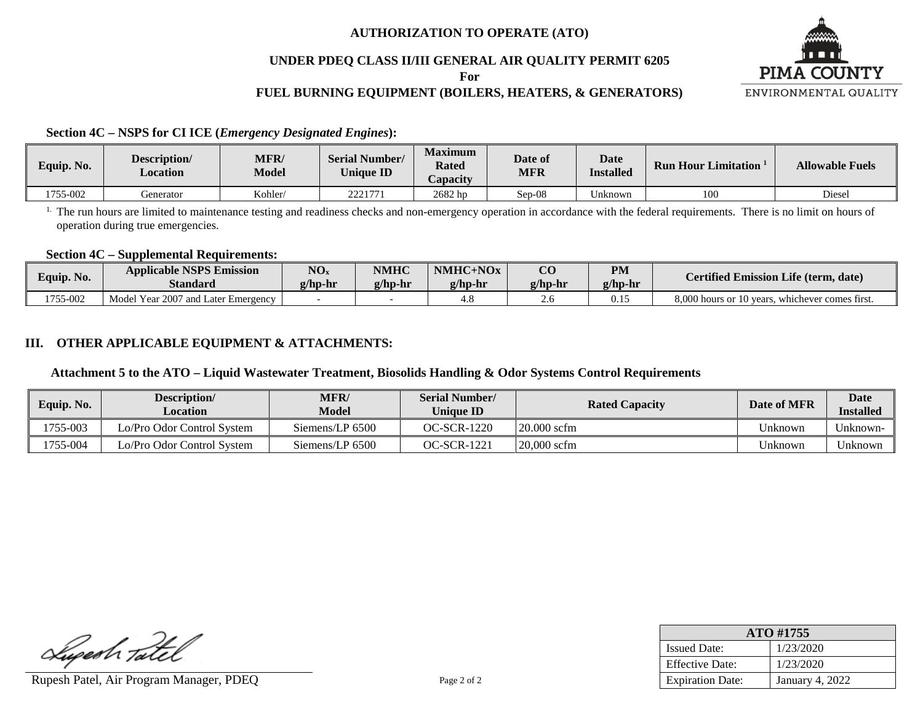### **AUTHORIZATION TO OPERATE (ATO)**

### **UNDER PDEQ CLASS II/III GENERAL AIR QUALITY PERMIT 6205**

**For**

# **FUEL BURNING EQUIPMENT (BOILERS, HEATERS, & GENERATORS)**



**Section 4C – NSPS for CI ICE (***Emergency Designated Engines***):**

| Equip. No. | Description/<br>Location | <b>MFR</b><br><b>Model</b> | <b>Serial Number/</b><br><b>Unique ID</b> | <b>Maximum</b><br><b>Rated</b><br>$\angle$ apacity | Date of<br>MFR | <b>Date</b><br><b>Installed</b> | <b>Run Hour Limitation</b> | <b>Allowable Fuels</b> |
|------------|--------------------------|----------------------------|-------------------------------------------|----------------------------------------------------|----------------|---------------------------------|----------------------------|------------------------|
| 1755-002   | Generator                | Kohler/                    | 2221771                                   | 2682 hp                                            | $Sep-08$       | Unknown                         | 100                        | Diesel                 |

<sup>1.</sup> The run hours are limited to maintenance testing and readiness checks and non-emergency operation in accordance with the federal requirements. There is no limit on hours of operation during true emergencies.

#### **Section 4C – Supplemental Requirements:**

| Equip. No. | <b>Applicable NSPS Emission</b><br><b>Standard</b> | NO <sub>x</sub><br>$g/hp-hr$ | <b>NMHC</b><br>$g/hp-hr$ | $NMHC+NOx$<br>g/hp-hr | $\overline{\text{CC}}$<br>g/hp-hr | <b>PM</b><br>$g/hp-hr$ | <b>Certified Emission Life (term, date)</b>        |
|------------|----------------------------------------------------|------------------------------|--------------------------|-----------------------|-----------------------------------|------------------------|----------------------------------------------------|
| 1755-002   | Model Year 2007 and Later Emergency                |                              |                          | 4.8                   |                                   | 0.15                   | 8,000 hours or 10 years,<br>whichever comes first. |

# **III. OTHER APPLICABLE EQUIPMENT & ATTACHMENTS:**

#### **Attachment 5 to the ATO – Liquid Wastewater Treatment, Biosolids Handling & Odor Systems Control Requirements**

| Equip. No. | Description/<br><b>Location</b> | <b>MFR/</b><br><b>Model</b> | <b>Serial Number/</b><br><b>Unique ID</b> | <b>Rated Capacity</b> | Date of MFR | <b>Date</b><br><b>Installed</b> |
|------------|---------------------------------|-----------------------------|-------------------------------------------|-----------------------|-------------|---------------------------------|
| 1755-003   | Lo/Pro Odor Control System      | Siemens/LP 6500             | OC-SCR-1220                               | $20.000$ scfm         | Jnknown     | Unknown-                        |
| 1755-004   | Lo/Pro Odor Control System      | Siemens/LP 6500             | OC-SCR-1221                               | $20.000$ scfm         | Jnknown     | Unknown                         |

Lupesh Tatel

Rupesh Patel, Air Program Manager, PDEQ Page 2 of 2

| ATO #1755               |                        |  |  |  |  |
|-------------------------|------------------------|--|--|--|--|
| <b>Issued Date:</b>     | 1/23/2020              |  |  |  |  |
| <b>Effective Date:</b>  | 1/23/2020              |  |  |  |  |
| <b>Expiration Date:</b> | <b>January 4, 2022</b> |  |  |  |  |